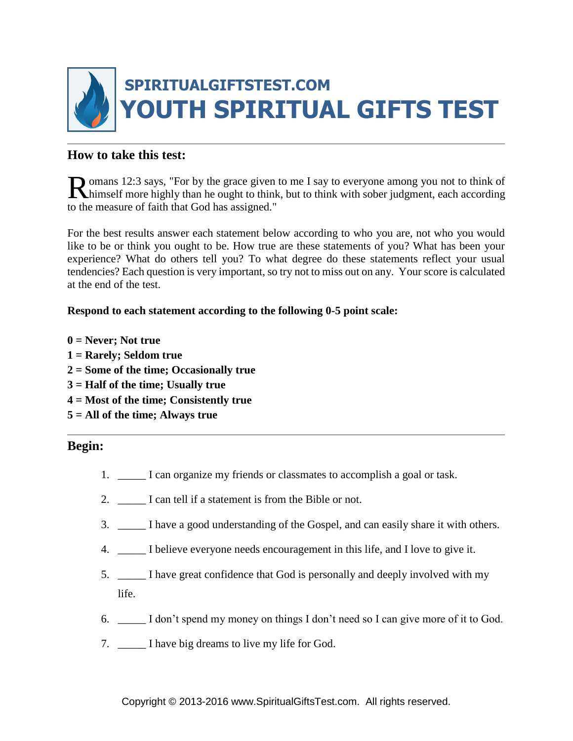

## **How to take this test:**

omans 12:3 says, "For by the grace given to me I say to everyone among you not to think of Romans 12:3 says, "For by the grace given to me I say to everyone among you not to think of himself more highly than he ought to think, but to think with sober judgment, each according to the measure of faith that God has assigned."

For the best results answer each statement below according to who you are, not who you would like to be or think you ought to be. How true are these statements of you? What has been your experience? What do others tell you? To what degree do these statements reflect your usual tendencies? Each question is very important, so try not to miss out on any. Your score is calculated at the end of the test.

### **Respond to each statement according to the following 0-5 point scale:**

- **0 = Never; Not true**
- **1 = Rarely; Seldom true**
- **2 = Some of the time; Occasionally true**
- **3 = Half of the time; Usually true**
- **4 = Most of the time; Consistently true**
- **5 = All of the time; Always true**

### **Begin:**

- 1. \_\_\_\_\_ I can organize my friends or classmates to accomplish a goal or task.
- 2. I can tell if a statement is from the Bible or not.
- 3. \_\_\_\_\_ I have a good understanding of the Gospel, and can easily share it with others.
- 4. \_\_\_\_\_ I believe everyone needs encouragement in this life, and I love to give it.
- 5. \_\_\_\_\_ I have great confidence that God is personally and deeply involved with my life.
- 6. \_\_\_\_\_ I don't spend my money on things I don't need so I can give more of it to God.
- 7. \_\_\_\_\_ I have big dreams to live my life for God.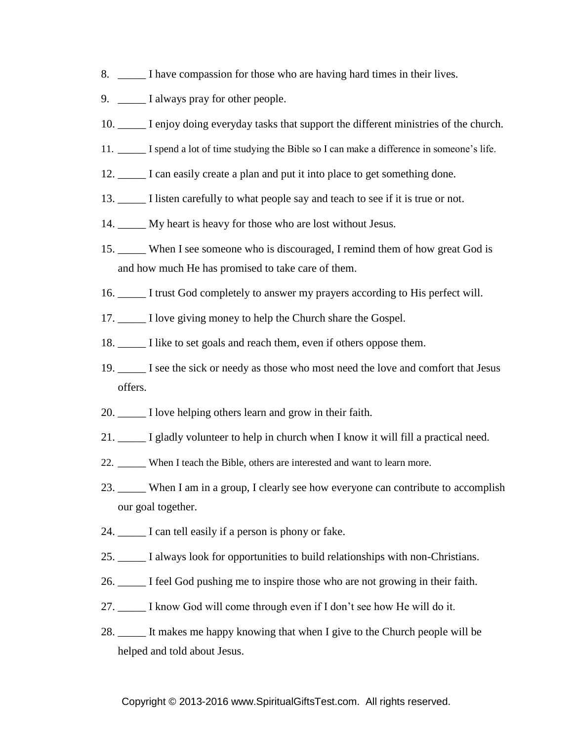- 8. \_\_\_\_\_ I have compassion for those who are having hard times in their lives.
- 9. \_\_\_\_\_\_\_ I always pray for other people.
- 10. \_\_\_\_\_ I enjoy doing everyday tasks that support the different ministries of the church.
- 11. \_\_\_\_\_ I spend a lot of time studying the Bible so I can make a difference in someone's life.
- 12. \_\_\_\_\_ I can easily create a plan and put it into place to get something done.
- 13. \_\_\_\_\_ I listen carefully to what people say and teach to see if it is true or not.
- 14. \_\_\_\_\_ My heart is heavy for those who are lost without Jesus.
- 15. \_\_\_\_\_ When I see someone who is discouraged, I remind them of how great God is and how much He has promised to take care of them.
- 16. \_\_\_\_\_ I trust God completely to answer my prayers according to His perfect will.
- 17. \_\_\_\_\_ I love giving money to help the Church share the Gospel.
- 18. \_\_\_\_\_ I like to set goals and reach them, even if others oppose them.
- 19. \_\_\_\_\_ I see the sick or needy as those who most need the love and comfort that Jesus offers.
- 20. \_\_\_\_\_ I love helping others learn and grow in their faith.
- 21. \_\_\_\_\_ I gladly volunteer to help in church when I know it will fill a practical need.
- 22. When I teach the Bible, others are interested and want to learn more.
- 23. \_\_\_\_\_ When I am in a group, I clearly see how everyone can contribute to accomplish our goal together.
- 24. \_\_\_\_\_ I can tell easily if a person is phony or fake.
- 25. \_\_\_\_\_ I always look for opportunities to build relationships with non-Christians.
- 26. \_\_\_\_\_ I feel God pushing me to inspire those who are not growing in their faith.
- 27. \_\_\_\_\_ I know God will come through even if I don't see how He will do it.
- 28. \_\_\_\_\_ It makes me happy knowing that when I give to the Church people will be helped and told about Jesus.

#### Copyright © 2013-2016 www.SpiritualGiftsTest.com. All rights reserved.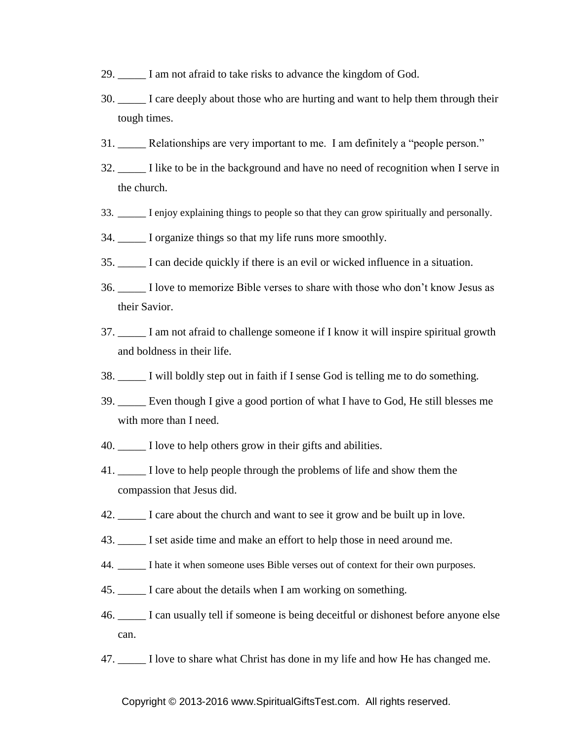- 29. \_\_\_\_\_ I am not afraid to take risks to advance the kingdom of God.
- 30. \_\_\_\_\_ I care deeply about those who are hurting and want to help them through their tough times.
- 31. Relationships are very important to me. I am definitely a "people person."
- 32. \_\_\_\_\_ I like to be in the background and have no need of recognition when I serve in the church.
- 33. \_\_\_\_\_ I enjoy explaining things to people so that they can grow spiritually and personally.
- 34. \_\_\_\_\_ I organize things so that my life runs more smoothly.
- 35. \_\_\_\_\_ I can decide quickly if there is an evil or wicked influence in a situation.
- 36. \_\_\_\_\_ I love to memorize Bible verses to share with those who don't know Jesus as their Savior.
- 37. \_\_\_\_\_ I am not afraid to challenge someone if I know it will inspire spiritual growth and boldness in their life.
- 38. \_\_\_\_\_ I will boldly step out in faith if I sense God is telling me to do something.
- 39. \_\_\_\_\_ Even though I give a good portion of what I have to God, He still blesses me with more than I need.
- 40. \_\_\_\_\_ I love to help others grow in their gifts and abilities.
- 41. \_\_\_\_\_ I love to help people through the problems of life and show them the compassion that Jesus did.
- 42. \_\_\_\_\_ I care about the church and want to see it grow and be built up in love.
- 43. \_\_\_\_\_ I set aside time and make an effort to help those in need around me.
- 44. \_\_\_\_\_ I hate it when someone uses Bible verses out of context for their own purposes.
- 45. \_\_\_\_\_ I care about the details when I am working on something.
- 46. \_\_\_\_\_ I can usually tell if someone is being deceitful or dishonest before anyone else can.
- 47. \_\_\_\_\_ I love to share what Christ has done in my life and how He has changed me.

Copyright © 2013-2016 www.SpiritualGiftsTest.com. All rights reserved.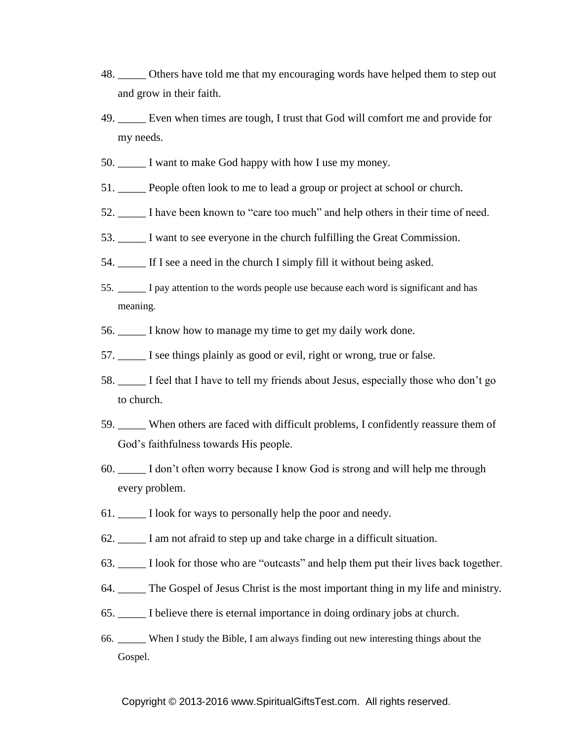- 48. \_\_\_\_\_ Others have told me that my encouraging words have helped them to step out and grow in their faith.
- 49. \_\_\_\_\_ Even when times are tough, I trust that God will comfort me and provide for my needs.
- 50. \_\_\_\_\_ I want to make God happy with how I use my money.
- 51. \_\_\_\_\_ People often look to me to lead a group or project at school or church.
- 52. \_\_\_\_\_ I have been known to "care too much" and help others in their time of need.
- 53. \_\_\_\_\_ I want to see everyone in the church fulfilling the Great Commission.
- 54. \_\_\_\_\_ If I see a need in the church I simply fill it without being asked.
- 55. \_\_\_\_\_ I pay attention to the words people use because each word is significant and has meaning.
- 56. \_\_\_\_\_ I know how to manage my time to get my daily work done.
- 57.  $\Box$  I see things plainly as good or evil, right or wrong, true or false.
- 58. \_\_\_\_\_ I feel that I have to tell my friends about Jesus, especially those who don't go to church.
- 59. \_\_\_\_\_ When others are faced with difficult problems, I confidently reassure them of God's faithfulness towards His people.
- 60. \_\_\_\_\_ I don't often worry because I know God is strong and will help me through every problem.
- 61. \_\_\_\_\_ I look for ways to personally help the poor and needy.
- 62. \_\_\_\_\_ I am not afraid to step up and take charge in a difficult situation.
- 63. \_\_\_\_\_ I look for those who are "outcasts" and help them put their lives back together.
- 64. \_\_\_\_\_ The Gospel of Jesus Christ is the most important thing in my life and ministry.
- 65. \_\_\_\_\_ I believe there is eternal importance in doing ordinary jobs at church.
- 66. \_\_\_\_\_ When I study the Bible, I am always finding out new interesting things about the Gospel.

#### Copyright © 2013-2016 www.SpiritualGiftsTest.com. All rights reserved.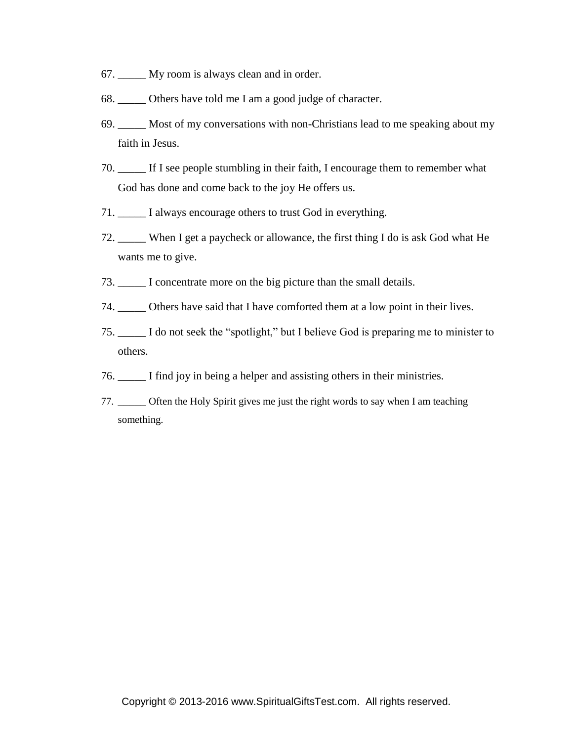- 67. \_\_\_\_\_ My room is always clean and in order.
- 68. Others have told me I am a good judge of character.
- 69. \_\_\_\_\_ Most of my conversations with non-Christians lead to me speaking about my faith in Jesus.
- 70. \_\_\_\_\_ If I see people stumbling in their faith, I encourage them to remember what God has done and come back to the joy He offers us.
- 71. \_\_\_\_\_ I always encourage others to trust God in everything.
- 72. \_\_\_\_\_ When I get a paycheck or allowance, the first thing I do is ask God what He wants me to give.
- 73. \_\_\_\_\_ I concentrate more on the big picture than the small details.
- 74. \_\_\_\_\_ Others have said that I have comforted them at a low point in their lives.
- 75. \_\_\_\_\_ I do not seek the "spotlight," but I believe God is preparing me to minister to others.
- 76. \_\_\_\_\_ I find joy in being a helper and assisting others in their ministries.
- 77. \_\_\_\_\_ Often the Holy Spirit gives me just the right words to say when I am teaching something.